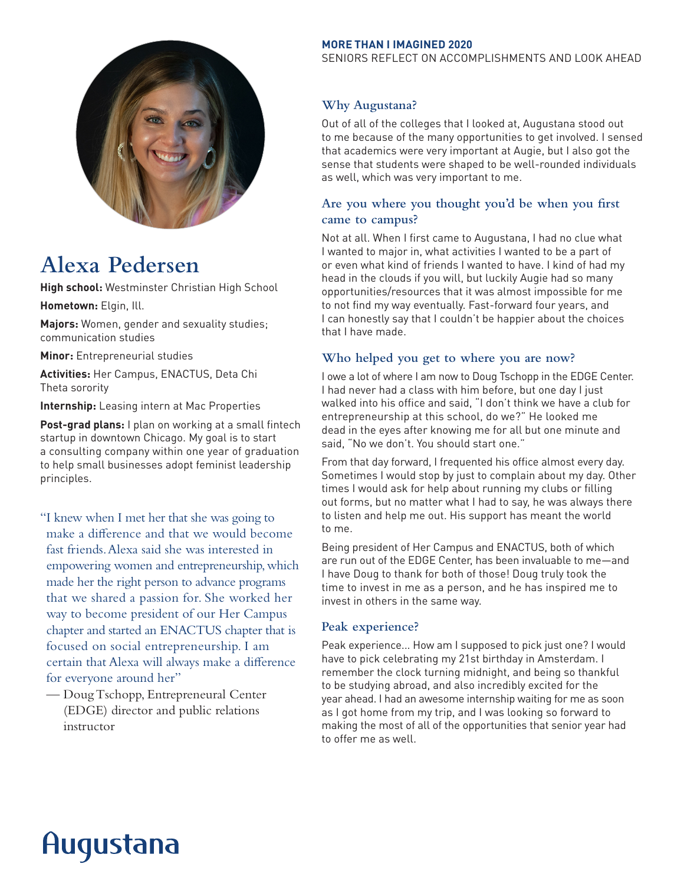

# **Alexa Pedersen**

**High school:** Westminster Christian High School

**Hometown:** Elgin, Ill.

**Majors:** Women, gender and sexuality studies; communication studies

**Minor:** Entrepreneurial studies

**Activities:** Her Campus, ENACTUS, Deta Chi Theta sorority

**Internship:** Leasing intern at Mac Properties

**Post-grad plans:** I plan on working at a small fintech startup in downtown Chicago. My goal is to start a consulting company within one year of graduation to help small businesses adopt feminist leadership principles.

"I knew when I met her that she was going to make a difference and that we would become fast friends. Alexa said she was interested in empowering women and entrepreneurship, which made her the right person to advance programs that we shared a passion for. She worked her way to become president of our Her Campus chapter and started an ENACTUS chapter that is focused on social entrepreneurship. I am certain that Alexa will always make a difference for everyone around her"

— Doug Tschopp, Entrepreneural Center (EDGE) director and public relations instructor

#### **MORE THAN I IMAGINED 2020**

SENIORS REFLECT ON ACCOMPLISHMENTS AND LOOK AHEAD

# **Why Augustana?**

Out of all of the colleges that I looked at, Augustana stood out to me because of the many opportunities to get involved. I sensed that academics were very important at Augie, but I also got the sense that students were shaped to be well-rounded individuals as well, which was very important to me.

# **Are you where you thought you'd be when you first came to campus?**

Not at all. When I first came to Augustana, I had no clue what I wanted to major in, what activities I wanted to be a part of or even what kind of friends I wanted to have. I kind of had my head in the clouds if you will, but luckily Augie had so many opportunities/resources that it was almost impossible for me to not find my way eventually. Fast-forward four years, and I can honestly say that I couldn't be happier about the choices that I have made.

## **Who helped you get to where you are now?**

I owe a lot of where I am now to Doug Tschopp in the EDGE Center. I had never had a class with him before, but one day I just walked into his office and said, "I don't think we have a club for entrepreneurship at this school, do we?" He looked me dead in the eyes after knowing me for all but one minute and said, "No we don't. You should start one."

From that day forward, I frequented his office almost every day. Sometimes I would stop by just to complain about my day. Other times I would ask for help about running my clubs or filling out forms, but no matter what I had to say, he was always there to listen and help me out. His support has meant the world to me.

Being president of Her Campus and ENACTUS, both of which are run out of the EDGE Center, has been invaluable to me—and I have Doug to thank for both of those! Doug truly took the time to invest in me as a person, and he has inspired me to invest in others in the same way.

## **Peak experience?**

Peak experience... How am I supposed to pick just one? I would have to pick celebrating my 21st birthday in Amsterdam. I remember the clock turning midnight, and being so thankful to be studying abroad, and also incredibly excited for the year ahead. I had an awesome internship waiting for me as soon as I got home from my trip, and I was looking so forward to making the most of all of the opportunities that senior year had to offer me as well.

# Augustana